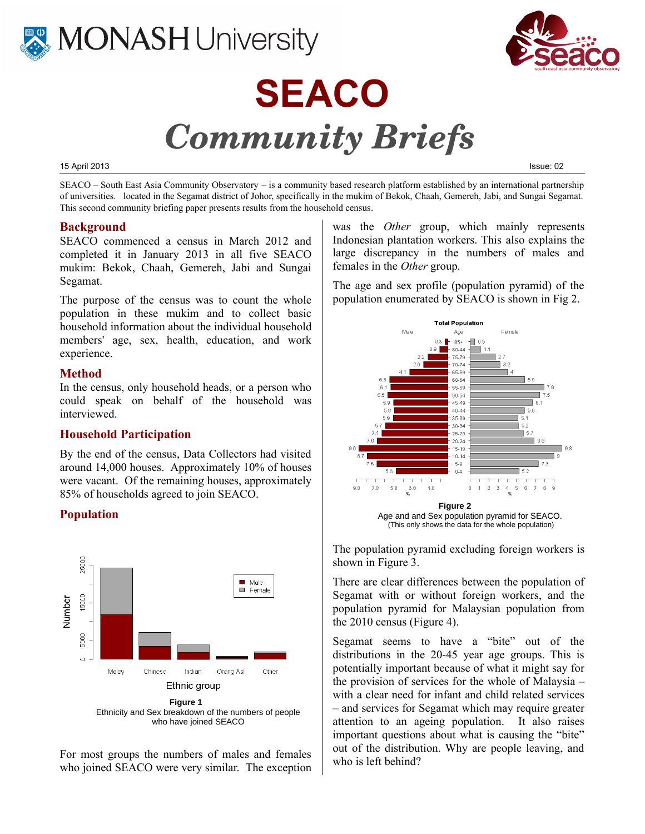

# **MONASH University**



#### 15 April 2013 Issue: 02

SEACO – South East Asia Community Observatory – is a community based research platform established by an international partnership of universities. located in the Segamat district of Johor, specifically in the mukim of Bekok, Chaah, Gemereh, Jabi, and Sungai Segamat. This second community briefing paper presents results from the household census.

#### **Background**

SEACO commenced a census in March 2012 and completed it in January 2013 in all five SEACO mukim: Bekok, Chaah, Gemereh, Jabi and Sungai Segamat.

The purpose of the census was to count the whole population in these mukim and to collect basic household information about the individual household members' age, sex, health, education, and work experience.

#### **Method**

In the census, only household heads, or a person who could speak on behalf of the household was interviewed.

## **Household Participation**

By the end of the census, Data Collectors had visited around 14,000 houses. Approximately 10% of houses were vacant. Of the remaining houses, approximately 85% of households agreed to join SEACO.

#### **Population**



Ethnicity and Sex breakdown of the numbers of people who have joined SEACO

For most groups the numbers of males and females who joined SEACO were very similar. The exception was the *Other* group, which mainly represents Indonesian plantation workers. This also explains the large discrepancy in the numbers of males and females in the *Other* group.

The age and sex profile (population pyramid) of the population enumerated by SEACO is shown in Fig 2.



The population pyramid excluding foreign workers is shown in Figure 3.

There are clear differences between the population of Segamat with or without foreign workers, and the population pyramid for Malaysian population from the 2010 census (Figure 4).

Segamat seems to have a "bite" out of the distributions in the 20-45 year age groups. This is potentially important because of what it might say for the provision of services for the whole of Malaysia – with a clear need for infant and child related services – and services for Segamat which may require greater attention to an ageing population. It also raises important questions about what is causing the "bite" out of the distribution. Why are people leaving, and who is left behind?